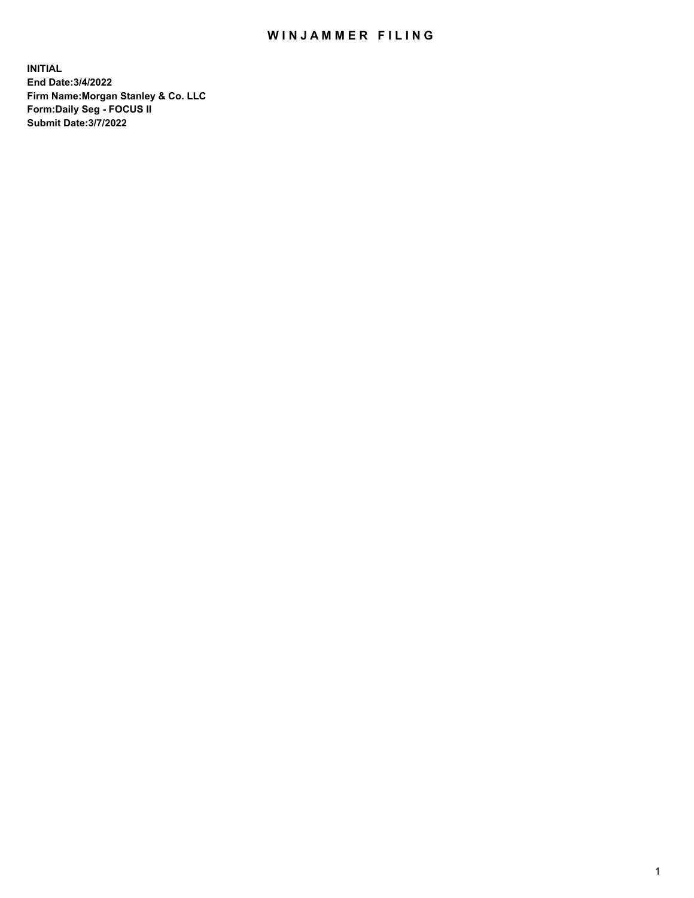## WIN JAMMER FILING

**INITIAL End Date:3/4/2022 Firm Name:Morgan Stanley & Co. LLC Form:Daily Seg - FOCUS II Submit Date:3/7/2022**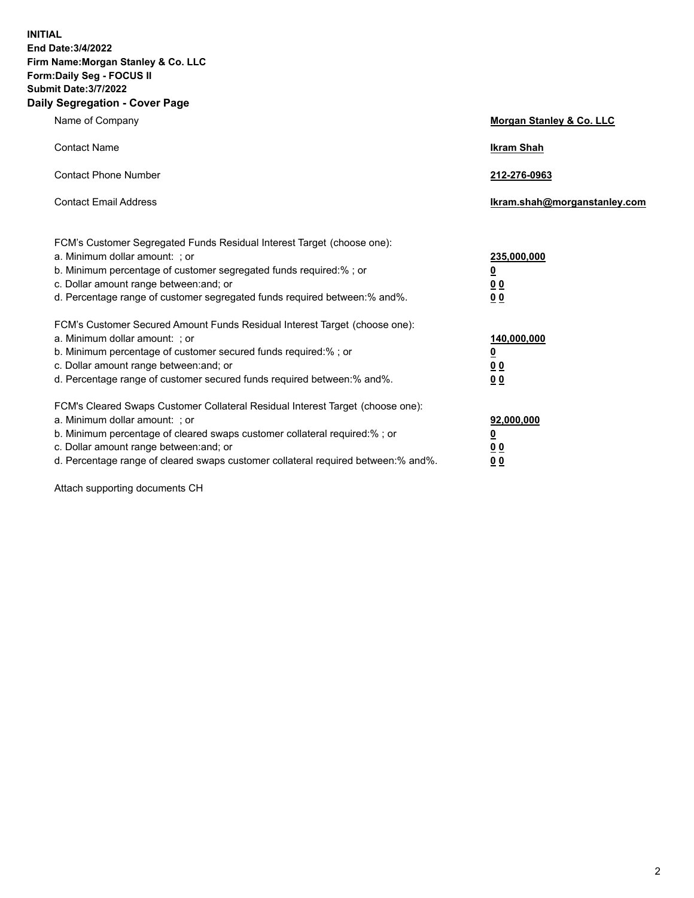**INITIAL End Date:3/4/2022 Firm Name:Morgan Stanley & Co. LLC Form:Daily Seg - FOCUS II Submit Date:3/7/2022 Daily Segregation - Cover Page**

| Name of Company                                                                                                                                                                                                                                                                                                               | Morgan Stanley & Co. LLC                                                     |
|-------------------------------------------------------------------------------------------------------------------------------------------------------------------------------------------------------------------------------------------------------------------------------------------------------------------------------|------------------------------------------------------------------------------|
| <b>Contact Name</b>                                                                                                                                                                                                                                                                                                           | <b>Ikram Shah</b>                                                            |
| <b>Contact Phone Number</b>                                                                                                                                                                                                                                                                                                   | 212-276-0963                                                                 |
| <b>Contact Email Address</b>                                                                                                                                                                                                                                                                                                  | Ikram.shah@morganstanley.com                                                 |
| FCM's Customer Segregated Funds Residual Interest Target (choose one):<br>a. Minimum dollar amount: ; or<br>b. Minimum percentage of customer segregated funds required:% ; or<br>c. Dollar amount range between: and; or<br>d. Percentage range of customer segregated funds required between: % and %.                      | 235,000,000<br><u>0</u><br><u>00</u><br>0 Q                                  |
| FCM's Customer Secured Amount Funds Residual Interest Target (choose one):<br>a. Minimum dollar amount: ; or<br>b. Minimum percentage of customer secured funds required:%; or<br>c. Dollar amount range between: and; or<br>d. Percentage range of customer secured funds required between:% and%.                           | 140,000,000<br><u>0</u><br>$\underline{0}$ $\underline{0}$<br>0 <sup>0</sup> |
| FCM's Cleared Swaps Customer Collateral Residual Interest Target (choose one):<br>a. Minimum dollar amount: ; or<br>b. Minimum percentage of cleared swaps customer collateral required:%; or<br>c. Dollar amount range between: and; or<br>d. Percentage range of cleared swaps customer collateral required between:% and%. | 92,000,000<br><u>0</u><br><u>00</u><br>00                                    |

Attach supporting documents CH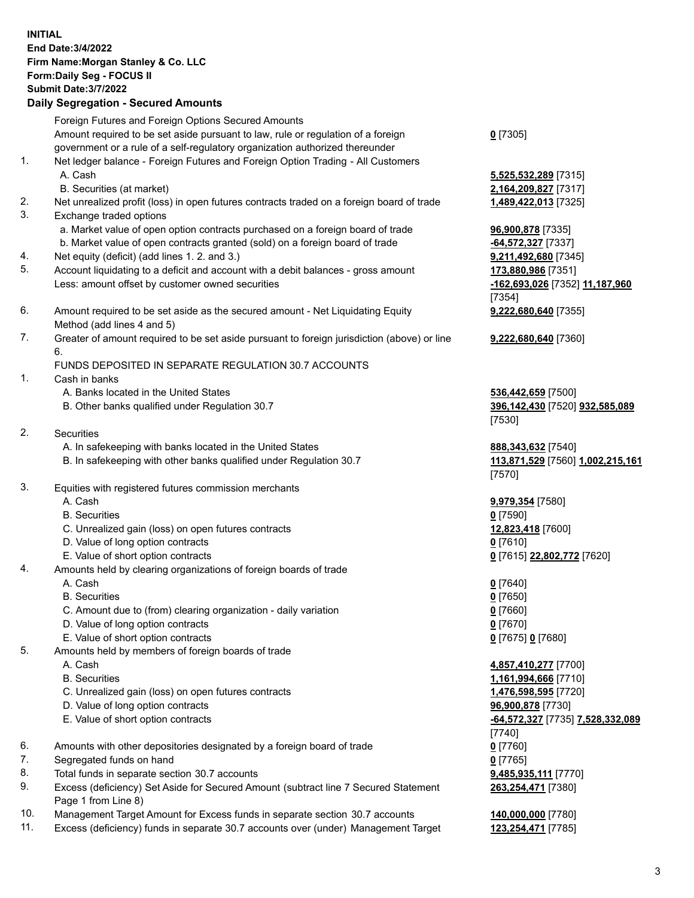|          | <b>INITIAL</b><br>End Date: 3/4/2022<br>Firm Name: Morgan Stanley & Co. LLC<br>Form: Daily Seg - FOCUS II<br><b>Submit Date: 3/7/2022</b><br><b>Daily Segregation - Secured Amounts</b> |                                            |
|----------|-----------------------------------------------------------------------------------------------------------------------------------------------------------------------------------------|--------------------------------------------|
|          | Foreign Futures and Foreign Options Secured Amounts                                                                                                                                     |                                            |
|          | Amount required to be set aside pursuant to law, rule or regulation of a foreign                                                                                                        | $0$ [7305]                                 |
| 1.       | government or a rule of a self-regulatory organization authorized thereunder<br>Net ledger balance - Foreign Futures and Foreign Option Trading - All Customers                         |                                            |
|          | A. Cash                                                                                                                                                                                 | 5,525,532,289 [7315]                       |
|          | B. Securities (at market)                                                                                                                                                               | 2,164,209,827 [7317]                       |
| 2.       | Net unrealized profit (loss) in open futures contracts traded on a foreign board of trade                                                                                               | 1,489,422,013 [7325]                       |
| 3.       | Exchange traded options                                                                                                                                                                 |                                            |
|          | a. Market value of open option contracts purchased on a foreign board of trade                                                                                                          | 96,900,878 [7335]                          |
| 4.       | b. Market value of open contracts granted (sold) on a foreign board of trade<br>Net equity (deficit) (add lines 1. 2. and 3.)                                                           | -64,572,327 [7337]<br>9,211,492,680 [7345] |
| 5.       | Account liquidating to a deficit and account with a debit balances - gross amount                                                                                                       | 173,880,986 [7351]                         |
|          | Less: amount offset by customer owned securities                                                                                                                                        | -162,693,026 [7352] 11,187,960             |
|          |                                                                                                                                                                                         | [7354]                                     |
| 6.       | Amount required to be set aside as the secured amount - Net Liquidating Equity                                                                                                          | 9,222,680,640 [7355]                       |
| 7.       | Method (add lines 4 and 5)<br>Greater of amount required to be set aside pursuant to foreign jurisdiction (above) or line                                                               |                                            |
|          | 6.                                                                                                                                                                                      | 9,222,680,640 [7360]                       |
|          | FUNDS DEPOSITED IN SEPARATE REGULATION 30.7 ACCOUNTS                                                                                                                                    |                                            |
| 1.       | Cash in banks                                                                                                                                                                           |                                            |
|          | A. Banks located in the United States                                                                                                                                                   | 536,442,659 [7500]                         |
|          | B. Other banks qualified under Regulation 30.7                                                                                                                                          | 396,142,430 [7520] 932,585,089             |
| 2.       | Securities                                                                                                                                                                              | [7530]                                     |
|          | A. In safekeeping with banks located in the United States                                                                                                                               | 888, 343, 632 [7540]                       |
|          | B. In safekeeping with other banks qualified under Regulation 30.7                                                                                                                      | 113,871,529 [7560] 1,002,215,161           |
|          |                                                                                                                                                                                         | [7570]                                     |
| 3.       | Equities with registered futures commission merchants                                                                                                                                   |                                            |
|          | A. Cash<br><b>B.</b> Securities                                                                                                                                                         | 9,979,354 [7580]<br><u>0</u> [7590]        |
|          | C. Unrealized gain (loss) on open futures contracts                                                                                                                                     | 12,823,418 [7600]                          |
|          | D. Value of long option contracts                                                                                                                                                       | $0$ [7610]                                 |
|          | E. Value of short option contracts                                                                                                                                                      | 0 [7615] 22,802,772 [7620]                 |
| 4.       | Amounts held by clearing organizations of foreign boards of trade                                                                                                                       |                                            |
|          | A. Cash<br><b>B.</b> Securities                                                                                                                                                         | $0$ [7640]                                 |
|          | C. Amount due to (from) clearing organization - daily variation                                                                                                                         | $0$ [7650]<br>$0$ [7660]                   |
|          | D. Value of long option contracts                                                                                                                                                       | $0$ [7670]                                 |
|          | E. Value of short option contracts                                                                                                                                                      | 0 [7675] 0 [7680]                          |
| 5.       | Amounts held by members of foreign boards of trade                                                                                                                                      |                                            |
|          | A. Cash                                                                                                                                                                                 | 4,857,410,277 [7700]                       |
|          | <b>B.</b> Securities<br>C. Unrealized gain (loss) on open futures contracts                                                                                                             | 1,161,994,666 [7710]                       |
|          | D. Value of long option contracts                                                                                                                                                       | 1,476,598,595 [7720]<br>96,900,878 [7730]  |
|          | E. Value of short option contracts                                                                                                                                                      | -64,572,327 [7735] 7,528,332,089           |
|          |                                                                                                                                                                                         | [7740]                                     |
| 6.       | Amounts with other depositories designated by a foreign board of trade                                                                                                                  | $0$ [7760]                                 |
| 7.       | Segregated funds on hand                                                                                                                                                                | $0$ [7765]                                 |
| 8.<br>9. | Total funds in separate section 30.7 accounts<br>Excess (deficiency) Set Aside for Secured Amount (subtract line 7 Secured Statement                                                    | 9,485,935,111 [7770]<br>263,254,471 [7380] |
|          | Page 1 from Line 8)                                                                                                                                                                     |                                            |

- 10. Management Target Amount for Excess funds in separate section 30.7 accounts **140,000,000** [7780]
- 11. Excess (deficiency) funds in separate 30.7 accounts over (under) Management Target **123,254,471** [7785]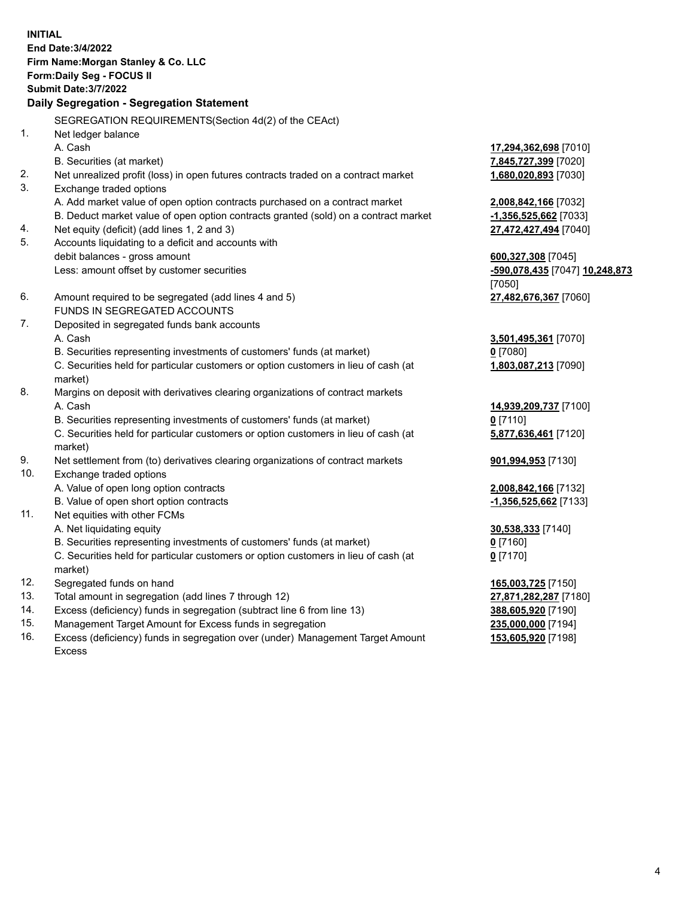**INITIAL End Date:3/4/2022 Firm Name:Morgan Stanley & Co. LLC Form:Daily Seg - FOCUS II Submit Date:3/7/2022 Daily Segregation - Segregation Statement** SEGREGATION REQUIREMENTS(Section 4d(2) of the CEAct) 1. Net ledger balance A. Cash **17,294,362,698** [7010] B. Securities (at market) **7,845,727,399** [7020] 2. Net unrealized profit (loss) in open futures contracts traded on a contract market **1,680,020,893** [7030] 3. Exchange traded options A. Add market value of open option contracts purchased on a contract market **2,008,842,166** [7032] B. Deduct market value of open option contracts granted (sold) on a contract market **-1,356,525,662** [7033] 4. Net equity (deficit) (add lines 1, 2 and 3) **27,472,427,494** [7040] 5. Accounts liquidating to a deficit and accounts with debit balances - gross amount **600,327,308** [7045] Less: amount offset by customer securities **-590,078,435** [7047] **10,248,873** [7050] 6. Amount required to be segregated (add lines 4 and 5) **27,482,676,367** [7060] FUNDS IN SEGREGATED ACCOUNTS 7. Deposited in segregated funds bank accounts A. Cash **3,501,495,361** [7070] B. Securities representing investments of customers' funds (at market) **0** [7080] C. Securities held for particular customers or option customers in lieu of cash (at market) **1,803,087,213** [7090] 8. Margins on deposit with derivatives clearing organizations of contract markets A. Cash **14,939,209,737** [7100] B. Securities representing investments of customers' funds (at market) **0** [7110] C. Securities held for particular customers or option customers in lieu of cash (at market) **5,877,636,461** [7120] 9. Net settlement from (to) derivatives clearing organizations of contract markets **901,994,953** [7130] 10. Exchange traded options A. Value of open long option contracts **2,008,842,166** [7132] B. Value of open short option contracts **-1,356,525,662** [7133] 11. Net equities with other FCMs A. Net liquidating equity **30,538,333** [7140] B. Securities representing investments of customers' funds (at market) **0** [7160] C. Securities held for particular customers or option customers in lieu of cash (at market) **0** [7170] 12. Segregated funds on hand **165,003,725** [7150] 13. Total amount in segregation (add lines 7 through 12) **27,871,282,287** [7180] 14. Excess (deficiency) funds in segregation (subtract line 6 from line 13) **388,605,920** [7190] 15. Management Target Amount for Excess funds in segregation **235,000,000** [7194]

16. Excess (deficiency) funds in segregation over (under) Management Target Amount Excess

**153,605,920** [7198]